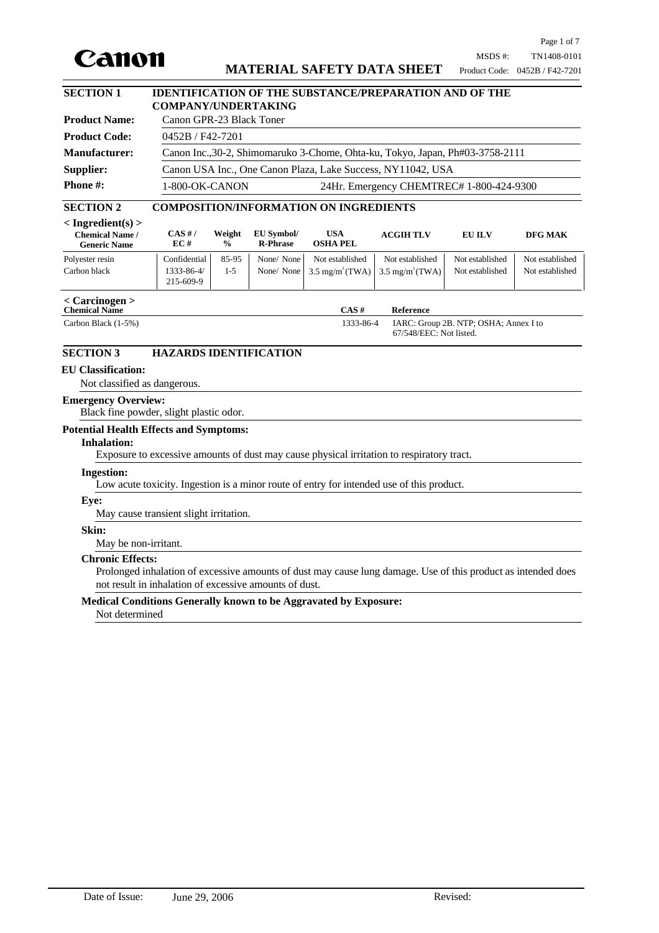

# **MATERIAL SAFETY DATA SHEET**

 $\overline{\phantom{a}}$ 

| <b>SECTION 1</b>                                 | <b>IDENTIFICATION OF THE SUBSTANCE/PREPARATION AND OF THE</b>                 |                                                                                                                                  |  |
|--------------------------------------------------|-------------------------------------------------------------------------------|----------------------------------------------------------------------------------------------------------------------------------|--|
|                                                  | <b>COMPANY/UNDERTAKING</b>                                                    |                                                                                                                                  |  |
| <b>Product Name:</b>                             | Canon GPR-23 Black Toner                                                      |                                                                                                                                  |  |
| <b>Product Code:</b>                             | $0452B / F42-7201$                                                            |                                                                                                                                  |  |
| <b>Manufacturer:</b>                             | Canon Inc., 30-2, Shimomaruko 3-Chome, Ohta-ku, Tokyo, Japan, Ph#03-3758-2111 |                                                                                                                                  |  |
| Supplier:                                        | Canon USA Inc., One Canon Plaza, Lake Success, NY11042, USA                   |                                                                                                                                  |  |
| <b>Phone #:</b>                                  | 1-800-OK-CANON                                                                | 24Hr. Emergency CHEMTREC# 1-800-424-9300                                                                                         |  |
| $\sim$ $\sim$ $\sim$ $\sim$ $\sim$ $\sim$ $\sim$ |                                                                               | $\alpha$ $\alpha$ is a $\alpha$ vertice than $\alpha$ is a $\alpha$ is a $\alpha$ is the $\alpha$ is the statistic than $\alpha$ |  |

#### **SECTION 2 COMPOSITION/INFORMATION ON INGREDIENTS**

| $\langle$ Ingredient(s) $>$<br><b>Chemical Name /</b><br><b>Generic Name</b> | CAS H/<br>EC#           | Weight<br>$\frac{0}{0}$ | EU Symbol/<br><b>R-Phrase</b> | <b>USA</b><br><b>OSHA PEL</b> | <b>ACGIH TLV</b>                                                       | EU ILV          | DFG MAK         |
|------------------------------------------------------------------------------|-------------------------|-------------------------|-------------------------------|-------------------------------|------------------------------------------------------------------------|-----------------|-----------------|
| Polyester resin                                                              | Confidential            | 85-95                   | None/None                     | Not established               | Not established                                                        | Not established | Not established |
| Carbon black                                                                 | 1333-86-4/<br>215-609-9 | $1-5$                   |                               |                               | None/ None   3.5 mg/m <sup>3</sup> (TWA)   3.5 mg/m <sup>3</sup> (TWA) | Not established | Not established |
| $\epsilon$ Carcinogen $\epsilon$                                             |                         |                         |                               |                               |                                                                        |                 |                 |

# **< Carcinogen > Chemical Name**

Carbon Black (1-5%)

1333-86-4 **CAS # Reference**

IARC: Group 2B. NTP; OSHA; Annex I to 67/548/EEC: Not listed.

# **SECTION 3 HAZARDS IDENTIFICATION**

## **EU Classification:**

Not classified as dangerous.

#### **Emergency Overview:**

Black fine powder, slight plastic odor.

# **Potential Health Effects and Symptoms:**

#### **Inhalation:**

Exposure to excessive amounts of dust may cause physical irritation to respiratory tract.

#### **Ingestion:**

Low acute toxicity. Ingestion is a minor route of entry for intended use of this product.

#### **Eye:**

May cause transient slight irritation.

#### **Skin:**

May be non-irritant.

#### **Chronic Effects:**

Prolonged inhalation of excessive amounts of dust may cause lung damage. Use of this product as intended does not result in inhalation of excessive amounts of dust.

#### **Medical Conditions Generally known to be Aggravated by Exposure:**

Not determined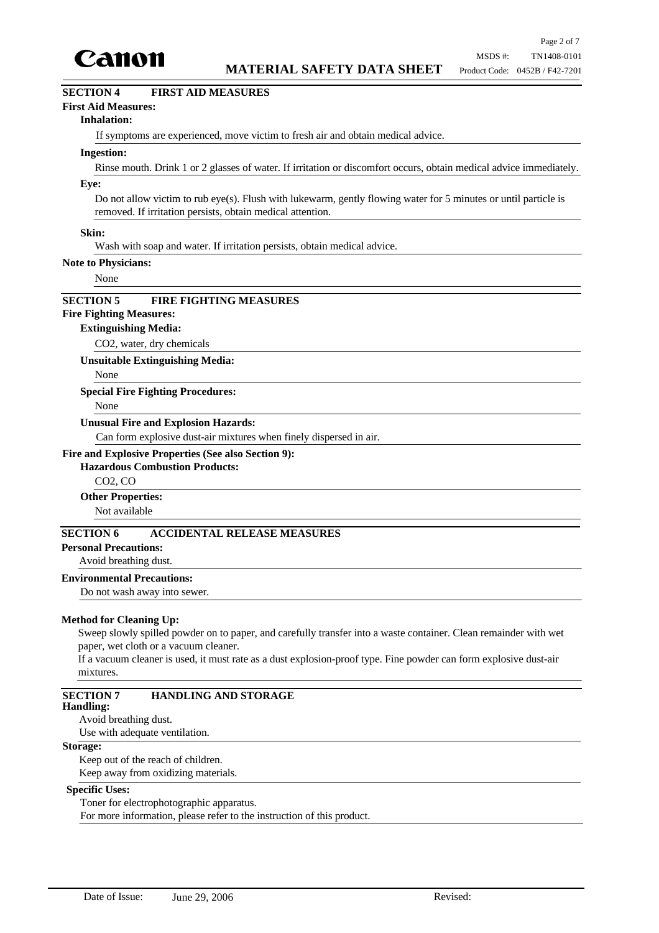

# **SECTION 4 FIRST AID MEASURES**

# **First Aid Measures:**

#### **Inhalation:**

If symptoms are experienced, move victim to fresh air and obtain medical advice.

#### **Ingestion:**

Rinse mouth. Drink 1 or 2 glasses of water. If irritation or discomfort occurs, obtain medical advice immediately.

#### **Eye:**

Do not allow victim to rub eye(s). Flush with lukewarm, gently flowing water for 5 minutes or until particle is removed. If irritation persists, obtain medical attention.

#### **Skin:**

Wash with soap and water. If irritation persists, obtain medical advice.

#### **Note to Physicians:**

None

# **SECTION 5 FIRE FIGHTING MEASURES**

# **Fire Fighting Measures:**

# **Extinguishing Media:**

CO2, water, dry chemicals

**Unsuitable Extinguishing Media:**

None

#### **Special Fire Fighting Procedures:**

None

#### **Unusual Fire and Explosion Hazards:**

Can form explosive dust-air mixtures when finely dispersed in air.

#### **Fire and Explosive Properties (See also Section 9):**

#### **Hazardous Combustion Products:**

CO2, CO

#### **Other Properties:**

Not available

# **SECTION 6 ACCIDENTAL RELEASE MEASURES**

**Personal Precautions:**

# Avoid breathing dust.

**Environmental Precautions:**

Do not wash away into sewer.

#### **Method for Cleaning Up:**

Sweep slowly spilled powder on to paper, and carefully transfer into a waste container. Clean remainder with wet paper, wet cloth or a vacuum cleaner.

If a vacuum cleaner is used, it must rate as a dust explosion-proof type. Fine powder can form explosive dust-air mixtures.

# **SECTION 7 HANDLING AND STORAGE**

# **Handling:**

Avoid breathing dust.

Use with adequate ventilation.

# **Storage:**

Keep out of the reach of children.

Keep away from oxidizing materials.

#### **Specific Uses:**

Toner for electrophotographic apparatus.

For more information, please refer to the instruction of this product.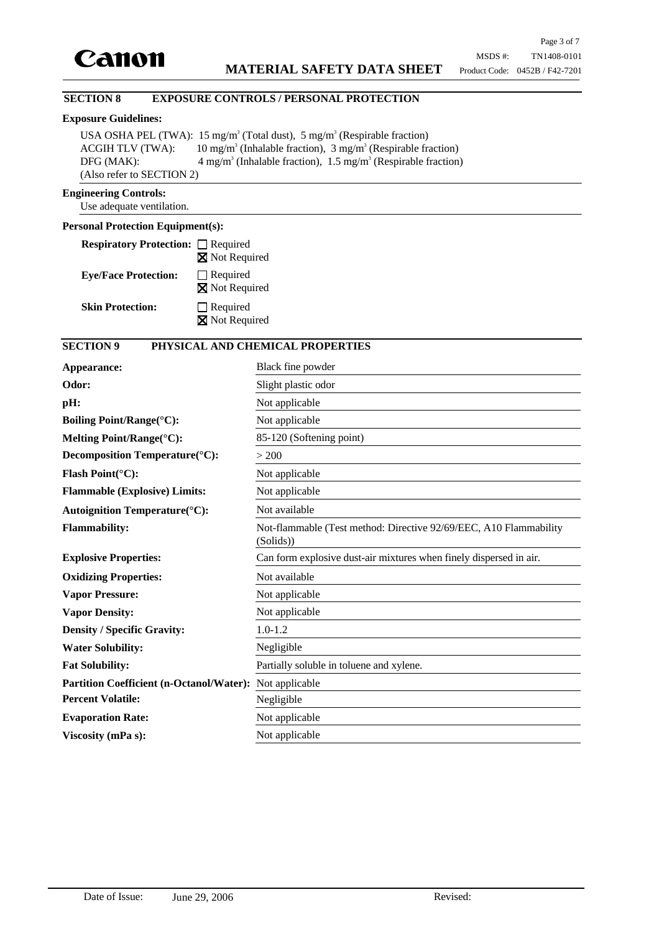

# **SECTION 8 EXPOSURE CONTROLS / PERSONAL PROTECTION**

### **Exposure Guidelines:**

USA OSHA PEL (TWA):  $15 \text{ mg/m}^3$  (Total dust),  $5 \text{ mg/m}^3$  (Respirable fraction) ACGIH TLV (TWA): (Inhalable fraction),  $3 \text{ mg/m}^3$  (Respirable fraction)  $DFG (MAX):$ (Inhalable fraction),  $1.5 \text{ mg/m}^3$  (Respirable fraction) (Also refer to SECTION 2)

#### **Engineering Controls:**

Use adequate ventilation.

# **Personal Protection Equipment(s):**

| <b>Respiratory Protection:</b> □ Required |                                          |
|-------------------------------------------|------------------------------------------|
|                                           | <b>X</b> Not Required                    |
| <b>Eye/Face Protection:</b>               | $\Box$ Required<br><b>X</b> Not Required |
| <b>Skin Protection:</b>                   | $\Box$ Required<br>Not Required          |

# **SECTION 9 PHYSICAL AND CHEMICAL PROPERTIES**

| Appearance:                                     | Black fine powder                                                              |
|-------------------------------------------------|--------------------------------------------------------------------------------|
| Odor:                                           | Slight plastic odor                                                            |
| pH:                                             | Not applicable                                                                 |
| <b>Boiling Point/Range(°C):</b>                 | Not applicable                                                                 |
| Melting Point/Range(°C):                        | 85-120 (Softening point)                                                       |
| Decomposition Temperature(°C):                  | > 200                                                                          |
| Flash Point( $^{\circ}$ C):                     | Not applicable                                                                 |
| <b>Flammable (Explosive) Limits:</b>            | Not applicable                                                                 |
| <b>Autoignition Temperature</b> (°C):           | Not available                                                                  |
| <b>Flammability:</b>                            | Not-flammable (Test method: Directive 92/69/EEC, A10 Flammability<br>(Solids)) |
| <b>Explosive Properties:</b>                    | Can form explosive dust-air mixtures when finely dispersed in air.             |
| <b>Oxidizing Properties:</b>                    | Not available                                                                  |
| <b>Vapor Pressure:</b>                          | Not applicable                                                                 |
| <b>Vapor Density:</b>                           | Not applicable                                                                 |
| <b>Density / Specific Gravity:</b>              | $1.0 - 1.2$                                                                    |
| <b>Water Solubility:</b>                        | Negligible                                                                     |
| <b>Fat Solubility:</b>                          | Partially soluble in toluene and xylene.                                       |
| <b>Partition Coefficient (n-Octanol/Water):</b> | Not applicable                                                                 |
| <b>Percent Volatile:</b>                        | Negligible                                                                     |
| <b>Evaporation Rate:</b>                        | Not applicable                                                                 |
| Viscosity (mPa s):                              | Not applicable                                                                 |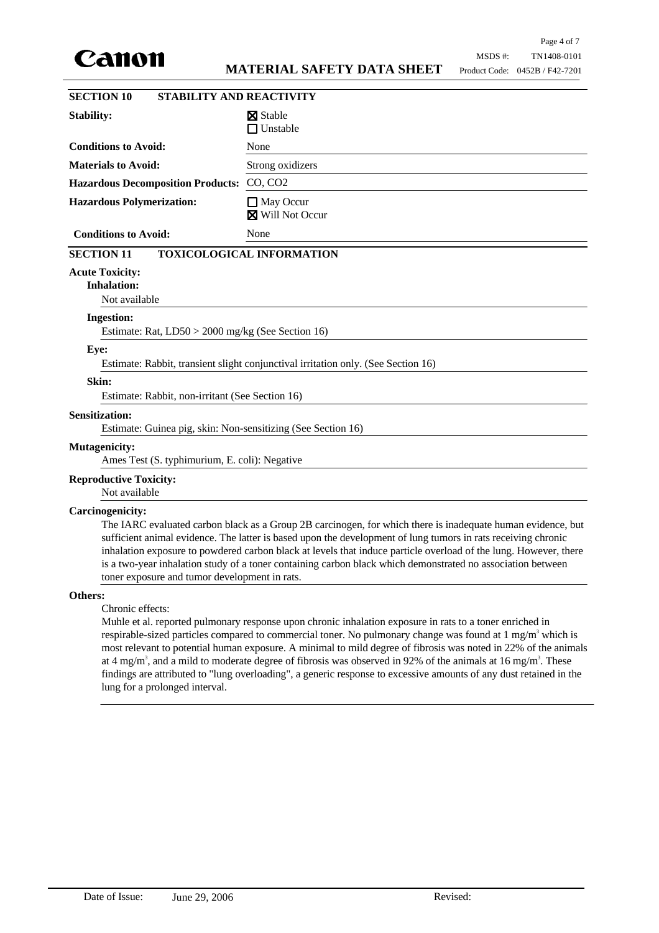

| <b>SECTION 10</b>                                                                                                                                                                                                                                                                                                                                                                                                                                                                                                | <b>STABILITY AND REACTIVITY</b>                                                   |  |  |  |
|------------------------------------------------------------------------------------------------------------------------------------------------------------------------------------------------------------------------------------------------------------------------------------------------------------------------------------------------------------------------------------------------------------------------------------------------------------------------------------------------------------------|-----------------------------------------------------------------------------------|--|--|--|
| Stability:                                                                                                                                                                                                                                                                                                                                                                                                                                                                                                       | <b>X</b> Stable                                                                   |  |  |  |
|                                                                                                                                                                                                                                                                                                                                                                                                                                                                                                                  | $\Box$ Unstable                                                                   |  |  |  |
| <b>Conditions to Avoid:</b>                                                                                                                                                                                                                                                                                                                                                                                                                                                                                      | None                                                                              |  |  |  |
| <b>Materials to Avoid:</b>                                                                                                                                                                                                                                                                                                                                                                                                                                                                                       | Strong oxidizers                                                                  |  |  |  |
| <b>Hazardous Decomposition Products:</b>                                                                                                                                                                                                                                                                                                                                                                                                                                                                         | CO, CO2                                                                           |  |  |  |
| <b>Hazardous Polymerization:</b>                                                                                                                                                                                                                                                                                                                                                                                                                                                                                 | $\Box$ May Occur<br><b>X</b> Will Not Occur                                       |  |  |  |
| <b>Conditions to Avoid:</b>                                                                                                                                                                                                                                                                                                                                                                                                                                                                                      | None                                                                              |  |  |  |
| <b>SECTION 11</b>                                                                                                                                                                                                                                                                                                                                                                                                                                                                                                | <b>TOXICOLOGICAL INFORMATION</b>                                                  |  |  |  |
| <b>Acute Toxicity:</b><br><b>Inhalation:</b><br>Not available                                                                                                                                                                                                                                                                                                                                                                                                                                                    |                                                                                   |  |  |  |
| <b>Ingestion:</b>                                                                                                                                                                                                                                                                                                                                                                                                                                                                                                |                                                                                   |  |  |  |
| Estimate: Rat, LD50 > 2000 mg/kg (See Section 16)                                                                                                                                                                                                                                                                                                                                                                                                                                                                |                                                                                   |  |  |  |
| Eye:                                                                                                                                                                                                                                                                                                                                                                                                                                                                                                             |                                                                                   |  |  |  |
|                                                                                                                                                                                                                                                                                                                                                                                                                                                                                                                  | Estimate: Rabbit, transient slight conjunctival irritation only. (See Section 16) |  |  |  |
| Skin:                                                                                                                                                                                                                                                                                                                                                                                                                                                                                                            |                                                                                   |  |  |  |
| Estimate: Rabbit, non-irritant (See Section 16)                                                                                                                                                                                                                                                                                                                                                                                                                                                                  |                                                                                   |  |  |  |
| <b>Sensitization:</b><br>Estimate: Guinea pig, skin: Non-sensitizing (See Section 16)                                                                                                                                                                                                                                                                                                                                                                                                                            |                                                                                   |  |  |  |
| <b>Mutagenicity:</b>                                                                                                                                                                                                                                                                                                                                                                                                                                                                                             |                                                                                   |  |  |  |
| Ames Test (S. typhimurium, E. coli): Negative                                                                                                                                                                                                                                                                                                                                                                                                                                                                    |                                                                                   |  |  |  |
| <b>Reproductive Toxicity:</b><br>Not available                                                                                                                                                                                                                                                                                                                                                                                                                                                                   |                                                                                   |  |  |  |
| Carcinogenicity:                                                                                                                                                                                                                                                                                                                                                                                                                                                                                                 |                                                                                   |  |  |  |
| The IARC evaluated carbon black as a Group 2B carcinogen, for which there is inadequate human evidence, but<br>sufficient animal evidence. The latter is based upon the development of lung tumors in rats receiving chronic<br>inhalation exposure to powdered carbon black at levels that induce particle overload of the lung. However, there<br>is a two-year inhalation study of a toner containing carbon black which demonstrated no association between<br>toner exposure and tumor development in rats. |                                                                                   |  |  |  |
| Others:                                                                                                                                                                                                                                                                                                                                                                                                                                                                                                          |                                                                                   |  |  |  |

Chronic effects:

Muhle et al. reported pulmonary response upon chronic inhalation exposure in rats to a toner enriched in respirable-sized particles compared to commercial toner. No pulmonary change was found at  $1 \text{ mg/m}^3$  which is most relevant to potential human exposure. A minimal to mild degree of fibrosis was noted in 22% of the animals at 4 mg/m<sup>3</sup>, and a mild to moderate degree of fibrosis was observed in 92% of the animals at 16 mg/m<sup>3</sup>. These findings are attributed to "lung overloading", a generic response to excessive amounts of any dust retained in the lung for a prolonged interval.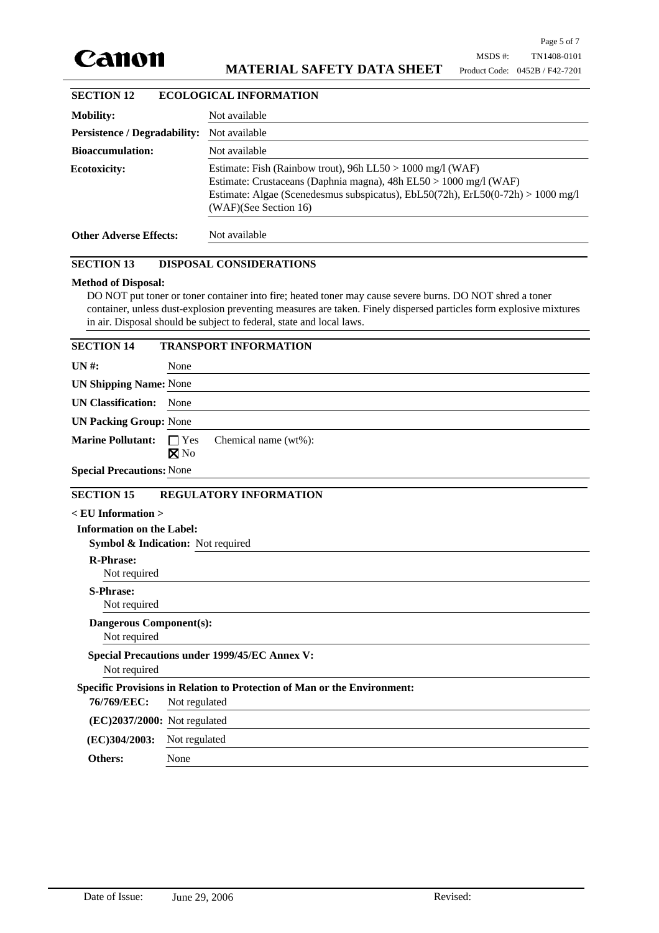

| <b>SECTION 12</b>                   | <b>ECOLOGICAL INFORMATION</b>                                                                                                                                                                                                               |  |  |
|-------------------------------------|---------------------------------------------------------------------------------------------------------------------------------------------------------------------------------------------------------------------------------------------|--|--|
| <b>Mobility:</b>                    | Not available                                                                                                                                                                                                                               |  |  |
| <b>Persistence / Degradability:</b> | Not available                                                                                                                                                                                                                               |  |  |
| <b>Bioaccumulation:</b>             | Not available                                                                                                                                                                                                                               |  |  |
| Ecotoxicity:                        | Estimate: Fish (Rainbow trout), 96h LL50 > 1000 mg/l (WAF)<br>Estimate: Crustaceans (Daphnia magna), 48h EL50 > 1000 mg/l (WAF)<br>Estimate: Algae (Scenedesmus subspicatus), EbL50(72h), ErL50(0-72h) > 1000 mg/l<br>(WAF)(See Section 16) |  |  |
| <b>Other Adverse Effects:</b>       | Not available                                                                                                                                                                                                                               |  |  |

#### **SECTION 13 DISPOSAL CONSIDERATIONS**

#### **Method of Disposal:**

DO NOT put toner or toner container into fire; heated toner may cause severe burns. DO NOT shred a toner container, unless dust-explosion preventing measures are taken. Finely dispersed particles form explosive mixtures in air. Disposal should be subject to federal, state and local laws.

| <b>SECTION 14</b>                                                        | <b>TRANSPORT INFORMATION</b>                         |  |  |
|--------------------------------------------------------------------------|------------------------------------------------------|--|--|
| <b>UN#:</b>                                                              | None                                                 |  |  |
| <b>UN Shipping Name: None</b>                                            |                                                      |  |  |
| <b>UN Classification:</b>                                                | None                                                 |  |  |
| <b>UN Packing Group: None</b>                                            |                                                      |  |  |
| <b>Marine Pollutant:</b>                                                 | $\Box$ Yes<br>Chemical name (wt%):<br>$\boxtimes$ No |  |  |
| <b>Special Precautions: None</b>                                         |                                                      |  |  |
| <b>SECTION 15</b>                                                        | <b>REGULATORY INFORMATION</b>                        |  |  |
| $<$ EU Information $>$                                                   |                                                      |  |  |
| <b>Information on the Label:</b>                                         | Symbol & Indication: Not required                    |  |  |
| <b>R-Phrase:</b><br>Not required                                         |                                                      |  |  |
| <b>S-Phrase:</b><br>Not required                                         |                                                      |  |  |
| <b>Dangerous Component(s):</b><br>Not required                           |                                                      |  |  |
| <b>Special Precautions under 1999/45/EC Annex V:</b><br>Not required     |                                                      |  |  |
| Specific Provisions in Relation to Protection of Man or the Environment: |                                                      |  |  |
| 76/769/EEC:                                                              | Not regulated                                        |  |  |
| (EC)2037/2000: Not regulated                                             |                                                      |  |  |
| (EC)304/2003:                                                            | Not regulated                                        |  |  |
| Others:                                                                  | None                                                 |  |  |
|                                                                          |                                                      |  |  |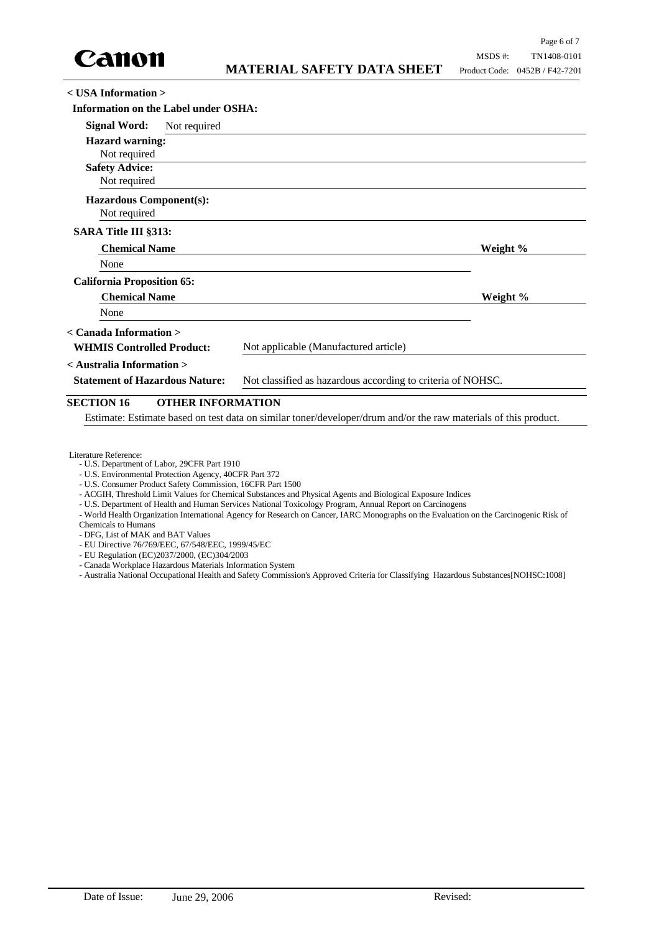

**< USA Information >**

| <b>Information on the Label under OSHA:</b>                                                          |              |                                       |          |
|------------------------------------------------------------------------------------------------------|--------------|---------------------------------------|----------|
| <b>Signal Word:</b>                                                                                  | Not required |                                       |          |
| <b>Hazard warning:</b>                                                                               |              |                                       |          |
| Not required                                                                                         |              |                                       |          |
| <b>Safety Advice:</b>                                                                                |              |                                       |          |
| Not required                                                                                         |              |                                       |          |
| <b>Hazardous Component(s):</b>                                                                       |              |                                       |          |
| Not required                                                                                         |              |                                       |          |
| SARA Title III §313:                                                                                 |              |                                       |          |
| <b>Chemical Name</b>                                                                                 |              |                                       | Weight % |
| None                                                                                                 |              |                                       |          |
| <b>California Proposition 65:</b>                                                                    |              |                                       |          |
| <b>Chemical Name</b>                                                                                 |              |                                       | Weight % |
| None                                                                                                 |              |                                       |          |
| < Canada Information >                                                                               |              |                                       |          |
| <b>WHMIS Controlled Product:</b>                                                                     |              | Not applicable (Manufactured article) |          |
| < Australia Information >                                                                            |              |                                       |          |
| Not classified as hazardous according to criteria of NOHSC.<br><b>Statement of Hazardous Nature:</b> |              |                                       |          |
|                                                                                                      |              |                                       |          |

# **SECTION 16 OTHER INFORMATION**

Estimate: Estimate based on test data on similar toner/developer/drum and/or the raw materials of this product.

- U.S. Environmental Protection Agency, 40CFR Part 372
- U.S. Consumer Product Safety Commission, 16CFR Part 1500
- ACGIH, Threshold Limit Values for Chemical Substances and Physical Agents and Biological Exposure Indices
- U.S. Department of Health and Human Services National Toxicology Program, Annual Report on Carcinogens
- World Health Organization International Agency for Research on Cancer, IARC Monographs on the Evaluation on the Carcinogenic Risk of Chemicals to Humans
- DFG, List of MAK and BAT Values
- EU Directive 76/769/EEC, 67/548/EEC, 1999/45/EC
- EU Regulation (EC)2037/2000, (EC)304/2003
- Canada Workplace Hazardous Materials Information System
- Australia National Occupational Health and Safety Commission's Approved Criteria for Classifying Hazardous Substances[NOHSC:1008]

Literature Reference: - U.S. Department of Labor, 29CFR Part 1910